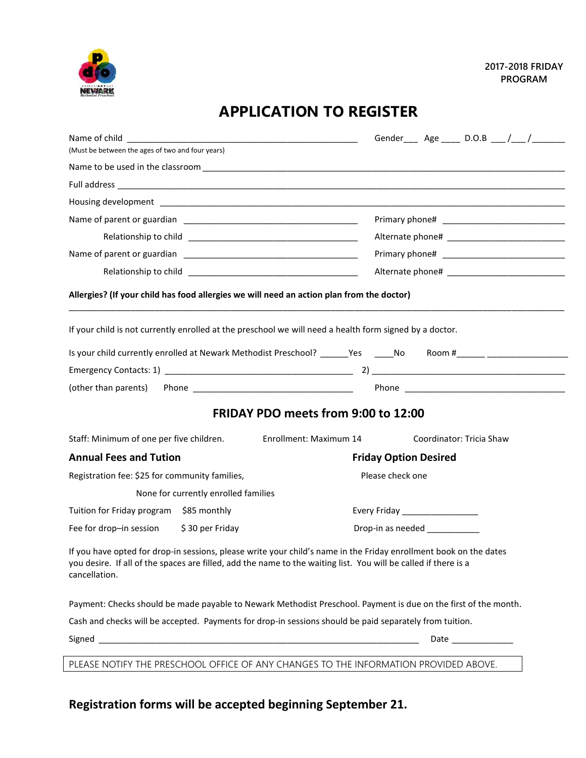

## **APPLICATION TO REGISTER**

| (Must be between the ages of two and four years)                          |                                                                                                                                                                                                                                      | Gender____ Age _____ D.O.B ___ /___ /_________ |  |
|---------------------------------------------------------------------------|--------------------------------------------------------------------------------------------------------------------------------------------------------------------------------------------------------------------------------------|------------------------------------------------|--|
|                                                                           |                                                                                                                                                                                                                                      |                                                |  |
|                                                                           |                                                                                                                                                                                                                                      |                                                |  |
|                                                                           |                                                                                                                                                                                                                                      |                                                |  |
|                                                                           |                                                                                                                                                                                                                                      |                                                |  |
|                                                                           |                                                                                                                                                                                                                                      |                                                |  |
|                                                                           |                                                                                                                                                                                                                                      |                                                |  |
|                                                                           | Allergies? (If your child has food allergies we will need an action plan from the doctor)<br>If your child is not currently enrolled at the preschool we will need a health form signed by a doctor.                                 |                                                |  |
|                                                                           | Is your child currently enrolled at Newark Methodist Preschool? ______Yes _____No Room #______ _______________                                                                                                                       |                                                |  |
|                                                                           |                                                                                                                                                                                                                                      |                                                |  |
| (other than parents)                                                      |                                                                                                                                                                                                                                      |                                                |  |
|                                                                           | FRIDAY PDO meets from 9:00 to 12:00                                                                                                                                                                                                  |                                                |  |
|                                                                           | Enrollment: Maximum 14                                                                                                                                                                                                               | Coordinator: Tricia Shaw                       |  |
| Staff: Minimum of one per five children.<br><b>Annual Fees and Tution</b> |                                                                                                                                                                                                                                      | <b>Friday Option Desired</b>                   |  |
| Registration fee: \$25 for community families,                            |                                                                                                                                                                                                                                      | Please check one                               |  |
| None for currently enrolled families                                      |                                                                                                                                                                                                                                      |                                                |  |
| Tuition for Friday program \$85 monthly                                   |                                                                                                                                                                                                                                      |                                                |  |
| Fee for drop-in session<br>\$30 per Friday                                |                                                                                                                                                                                                                                      | Drop-in as needed ____________                 |  |
| cancellation.                                                             | If you have opted for drop-in sessions, please write your child's name in the Friday enrollment book on the dates<br>you desire. If all of the spaces are filled, add the name to the waiting list. You will be called if there is a |                                                |  |
|                                                                           | Payment: Checks should be made payable to Newark Methodist Preschool. Payment is due on the first of the month.                                                                                                                      |                                                |  |
|                                                                           | Cash and checks will be accepted. Payments for drop-in sessions should be paid separately from tuition.                                                                                                                              |                                                |  |

## **Registration forms will be accepted beginning September 21.**